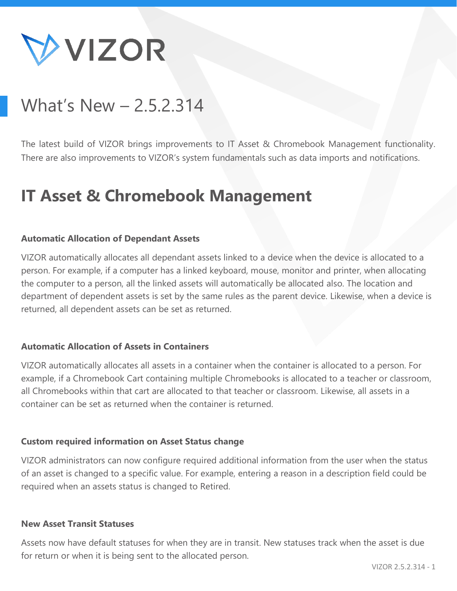

# What's New – 2.5.2.314

The latest build of VIZOR brings improvements to IT Asset & Chromebook Management functionality. There are also improvements to VIZOR's system fundamentals such as data imports and notifications.

# **IT Asset & Chromebook Management**

#### **Automatic Allocation of Dependant Assets**

VIZOR automatically allocates all dependant assets linked to a device when the device is allocated to a person. For example, if a computer has a linked keyboard, mouse, monitor and printer, when allocating the computer to a person, all the linked assets will automatically be allocated also. The location and department of dependent assets is set by the same rules as the parent device. Likewise, when a device is returned, all dependent assets can be set as returned.

#### **Automatic Allocation of Assets in Containers**

VIZOR automatically allocates all assets in a container when the container is allocated to a person. For example, if a Chromebook Cart containing multiple Chromebooks is allocated to a teacher or classroom, all Chromebooks within that cart are allocated to that teacher or classroom. Likewise, all assets in a container can be set as returned when the container is returned.

#### **Custom required information on Asset Status change**

VIZOR administrators can now configure required additional information from the user when the status of an asset is changed to a specific value. For example, entering a reason in a description field could be required when an assets status is changed to Retired.

#### **New Asset Transit Statuses**

Assets now have default statuses for when they are in transit. New statuses track when the asset is due for return or when it is being sent to the allocated person.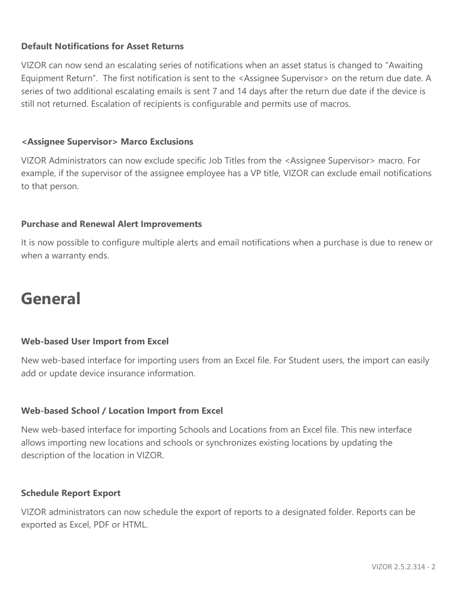# **Default Notifications for Asset Returns**

VIZOR can now send an escalating series of notifications when an asset status is changed to "Awaiting Equipment Return". The first notification is sent to the <Assignee Supervisor> on the return due date. A series of two additional escalating emails is sent 7 and 14 days after the return due date if the device is still not returned. Escalation of recipients is configurable and permits use of macros.

# **<Assignee Supervisor> Marco Exclusions**

VIZOR Administrators can now exclude specific Job Titles from the <Assignee Supervisor> macro. For example, if the supervisor of the assignee employee has a VP title, VIZOR can exclude email notifications to that person.

# **Purchase and Renewal Alert Improvements**

It is now possible to configure multiple alerts and email notifications when a purchase is due to renew or when a warranty ends.

# **General**

## **Web-based User Import from Excel**

New web-based interface for importing users from an Excel file. For Student users, the import can easily add or update device insurance information.

# **Web-based School / Location Import from Excel**

New web-based interface for importing Schools and Locations from an Excel file. This new interface allows importing new locations and schools or synchronizes existing locations by updating the description of the location in VIZOR.

## **Schedule Report Export**

VIZOR administrators can now schedule the export of reports to a designated folder. Reports can be exported as Excel, PDF or HTML.